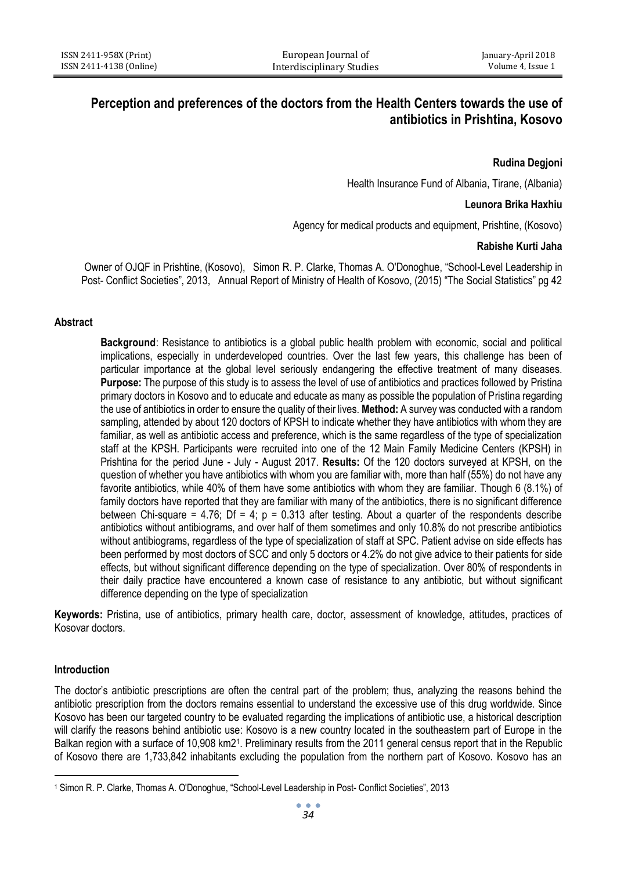# **Perception and preferences of the doctors from the Health Centers towards the use of antibiotics in Prishtina, Kosovo**

### **Rudina Degjoni**

Health Insurance Fund of Albania, Tirane, (Albania)

#### **Leunora Brika Haxhiu**

Agency for medical products and equipment, Prishtine, (Kosovo)

#### **Rabishe Kurti Jaha**

 Owner of OJQF in Prishtine, (Kosovo), Simon R. P. Clarke, Thomas A. O'Donoghue, "School-Level Leadership in Post- Conflict Societies", 2013, Annual Report of Ministry of Health of Kosovo, (2015) "The Social Statistics" pg 42

#### **Abstract**

**Background**: Resistance to antibiotics is a global public health problem with economic, social and political implications, especially in underdeveloped countries. Over the last few years, this challenge has been of particular importance at the global level seriously endangering the effective treatment of many diseases. **Purpose:** The purpose of this study is to assess the level of use of antibiotics and practices followed by Pristina primary doctors in Kosovo and to educate and educate as many as possible the population of Pristina regarding the use of antibiotics in order to ensure the quality of their lives. **Method:** A survey was conducted with a random sampling, attended by about 120 doctors of KPSH to indicate whether they have antibiotics with whom they are familiar, as well as antibiotic access and preference, which is the same regardless of the type of specialization staff at the KPSH. Participants were recruited into one of the 12 Main Family Medicine Centers (KPSH) in Prishtina for the period June - July - August 2017. **Results:** Of the 120 doctors surveyed at KPSH, on the question of whether you have antibiotics with whom you are familiar with, more than half (55%) do not have any favorite antibiotics, while 40% of them have some antibiotics with whom they are familiar. Though 6 (8.1%) of family doctors have reported that they are familiar with many of the antibiotics, there is no significant difference between Chi-square = 4.76; Df = 4;  $p = 0.313$  after testing. About a quarter of the respondents describe antibiotics without antibiograms, and over half of them sometimes and only 10.8% do not prescribe antibiotics without antibiograms, regardless of the type of specialization of staff at SPC. Patient advise on side effects has been performed by most doctors of SCC and only 5 doctors or 4.2% do not give advice to their patients for side effects, but without significant difference depending on the type of specialization. Over 80% of respondents in their daily practice have encountered a known case of resistance to any antibiotic, but without significant difference depending on the type of specialization

**Keywords:** Pristina, use of antibiotics, primary health care, doctor, assessment of knowledge, attitudes, practices of Kosovar doctors.

#### **Introduction**

 $\ddot{\phantom{a}}$ 

The doctor's antibiotic prescriptions are often the central part of the problem; thus, analyzing the reasons behind the antibiotic prescription from the doctors remains essential to understand the excessive use of this drug worldwide. Since Kosovo has been our targeted country to be evaluated regarding the implications of antibiotic use, a historical description will clarify the reasons behind antibiotic use: Kosovo is a new country located in the southeastern part of Europe in the Balkan region with a surface of 10,908 km2<sup>1</sup>. Preliminary results from the 2011 general census report that in the Republic of Kosovo there are 1,733,842 inhabitants excluding the population from the northern part of Kosovo. Kosovo has an

<sup>1</sup> Simon R. P. Clarke, Thomas A. O'Donoghue, "School-Level Leadership in Post- Conflict Societies", 2013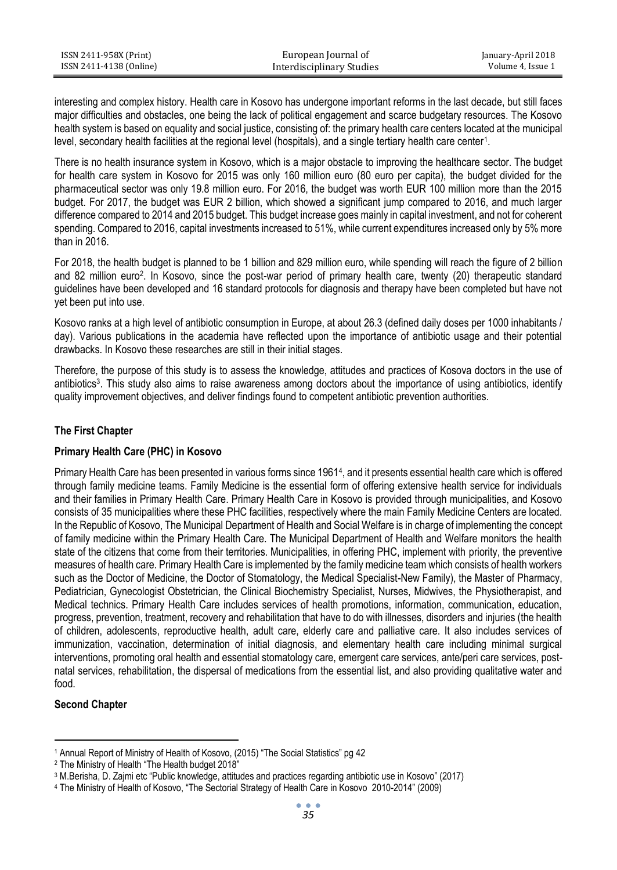| ISSN 2411-958X (Print)  | European Journal of       | January-April 2018 |
|-------------------------|---------------------------|--------------------|
| ISSN 2411-4138 (Online) | Interdisciplinary Studies | Volume 4, Issue 1  |

interesting and complex history. Health care in Kosovo has undergone important reforms in the last decade, but still faces major difficulties and obstacles, one being the lack of political engagement and scarce budgetary resources. The Kosovo health system is based on equality and social justice, consisting of: the primary health care centers located at the municipal level, secondary health facilities at the regional level (hospitals), and a single tertiary health care center<sup>1</sup>.

There is no health insurance system in Kosovo, which is a major obstacle to improving the healthcare sector. The budget for health care system in Kosovo for 2015 was only 160 million euro (80 euro per capita), the budget divided for the pharmaceutical sector was only 19.8 million euro. For 2016, the budget was worth EUR 100 million more than the 2015 budget. For 2017, the budget was EUR 2 billion, which showed a significant jump compared to 2016, and much larger difference compared to 2014 and 2015 budget. This budget increase goes mainly in capital investment, and not for coherent spending. Compared to 2016, capital investments increased to 51%, while current expenditures increased only by 5% more than in 2016.

For 2018, the health budget is planned to be 1 billion and 829 million euro, while spending will reach the figure of 2 billion and 82 million euro 2 . In Kosovo, since the post-war period of primary health care, twenty (20) therapeutic standard guidelines have been developed and 16 standard protocols for diagnosis and therapy have been completed but have not yet been put into use.

Kosovo ranks at a high level of antibiotic consumption in Europe, at about 26.3 (defined daily doses per 1000 inhabitants / day). Various publications in the academia have reflected upon the importance of antibiotic usage and their potential drawbacks. In Kosovo these researches are still in their initial stages.

Therefore, the purpose of this study is to assess the knowledge, attitudes and practices of Kosova doctors in the use of antibiotics<sup>3</sup>. This study also aims to raise awareness among doctors about the importance of using antibiotics, identify quality improvement objectives, and deliver findings found to competent antibiotic prevention authorities.

## **The First Chapter**

### **Primary Health Care (PHC) in Kosovo**

Primary Health Care has been presented in various forms since 1961<sup>4</sup>, and it presents essential health care which is offered through family medicine teams. Family Medicine is the essential form of offering extensive health service for individuals and their families in Primary Health Care. Primary Health Care in Kosovo is provided through municipalities, and Kosovo consists of 35 municipalities where these PHC facilities, respectively where the main Family Medicine Centers are located. In the Republic of Kosovo, The Municipal Department of Health and Social Welfare is in charge of implementing the concept of family medicine within the Primary Health Care. The Municipal Department of Health and Welfare monitors the health state of the citizens that come from their territories. Municipalities, in offering PHC, implement with priority, the preventive measures of health care. Primary Health Care is implemented by the family medicine team which consists of health workers such as the Doctor of Medicine, the Doctor of Stomatology, the Medical Specialist-New Family), the Master of Pharmacy, Pediatrician, Gynecologist Obstetrician, the Clinical Biochemistry Specialist, Nurses, Midwives, the Physiotherapist, and Medical technics. Primary Health Care includes services of health promotions, information, communication, education, progress, prevention, treatment, recovery and rehabilitation that have to do with illnesses, disorders and injuries (the health of children, adolescents, reproductive health, adult care, elderly care and palliative care. It also includes services of immunization, vaccination, determination of initial diagnosis, and elementary health care including minimal surgical interventions, promoting oral health and essential stomatology care, emergent care services, ante/peri care services, postnatal services, rehabilitation, the dispersal of medications from the essential list, and also providing qualitative water and food.

## **Second Chapter**

 $\ddot{\phantom{a}}$ <sup>1</sup> Annual Report of Ministry of Health of Kosovo, (2015) "The Social Statistics" pg 42

<sup>2</sup> The Ministry of Health "The Health budget 2018"

<sup>3</sup> M.Berisha, D. Zajmi etc "Public knowledge, attitudes and practices regarding antibiotic use in Kosovo" (2017)

<sup>4</sup> The Ministry of Health of Kosovo, "The Sectorial Strategy of Health Care in Kosovo 2010-2014" (2009)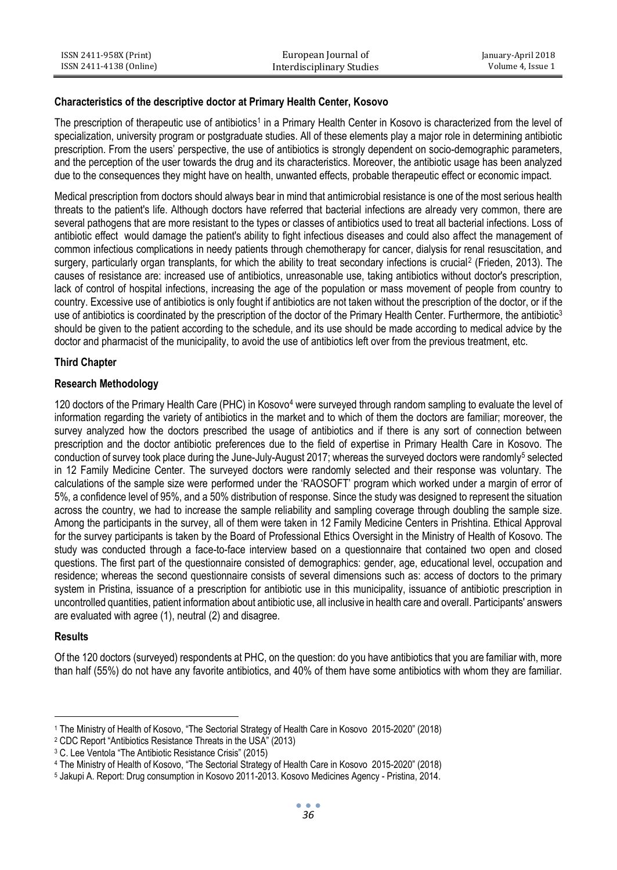| ISSN 2411-958X (Print)  | European Journal of       | January-April 2018 |
|-------------------------|---------------------------|--------------------|
| ISSN 2411-4138 (Online) | Interdisciplinary Studies | Volume 4. Issue 1  |

#### **Characteristics of the descriptive doctor at Primary Health Center, Kosovo**

The prescription of therapeutic use of antibiotics<sup>1</sup> in a Primary Health Center in Kosovo is characterized from the level of specialization, university program or postgraduate studies. All of these elements play a major role in determining antibiotic prescription. From the users' perspective, the use of antibiotics is strongly dependent on socio-demographic parameters, and the perception of the user towards the drug and its characteristics. Moreover, the antibiotic usage has been analyzed due to the consequences they might have on health, unwanted effects, probable therapeutic effect or economic impact.

Medical prescription from doctors should always bear in mind that antimicrobial resistance is one of the most serious health threats to the patient's life. Although doctors have referred that bacterial infections are already very common, there are several pathogens that are more resistant to the types or classes of antibiotics used to treat all bacterial infections. Loss of antibiotic effect would damage the patient's ability to fight infectious diseases and could also affect the management of common infectious complications in needy patients through chemotherapy for cancer, dialysis for renal resuscitation, and surgery, particularly organ transplants, for which the ability to treat secondary infections is crucial<sup>2</sup> (Frieden, 2013). The causes of resistance are: increased use of antibiotics, unreasonable use, taking antibiotics without doctor's prescription, lack of control of hospital infections, increasing the age of the population or mass movement of people from country to country. Excessive use of antibiotics is only fought if antibiotics are not taken without the prescription of the doctor, or if the use of antibiotics is coordinated by the prescription of the doctor of the Primary Health Center. Furthermore, the antibiotic<sup>3</sup> should be given to the patient according to the schedule, and its use should be made according to medical advice by the doctor and pharmacist of the municipality, to avoid the use of antibiotics left over from the previous treatment, etc.

#### **Third Chapter**

### **Research Methodology**

120 doctors of the Primary Health Care (PHC) in Kosovo<sup>4</sup> were surveyed through random sampling to evaluate the level of information regarding the variety of antibiotics in the market and to which of them the doctors are familiar; moreover, the survey analyzed how the doctors prescribed the usage of antibiotics and if there is any sort of connection between prescription and the doctor antibiotic preferences due to the field of expertise in Primary Health Care in Kosovo. The conduction of survey took place during the June-July-August 2017; whereas the surveyed doctors were randomly<sup>5</sup> selected in 12 Family Medicine Center. The surveyed doctors were randomly selected and their response was voluntary. The calculations of the sample size were performed under the 'RAOSOFT' program which worked under a margin of error of 5%, a confidence level of 95%, and a 50% distribution of response. Since the study was designed to represent the situation across the country, we had to increase the sample reliability and sampling coverage through doubling the sample size. Among the participants in the survey, all of them were taken in 12 Family Medicine Centers in Prishtina. Ethical Approval for the survey participants is taken by the Board of Professional Ethics Oversight in the Ministry of Health of Kosovo. The study was conducted through a face-to-face interview based on a questionnaire that contained two open and closed questions. The first part of the questionnaire consisted of demographics: gender, age, educational level, occupation and residence; whereas the second questionnaire consists of several dimensions such as: access of doctors to the primary system in Pristina, issuance of a prescription for antibiotic use in this municipality, issuance of antibiotic prescription in uncontrolled quantities, patient information about antibiotic use, all inclusive in health care and overall. Participants' answers are evaluated with agree (1), neutral (2) and disagree.

### **Results**

 $\ddot{\phantom{a}}$ 

Of the 120 doctors (surveyed) respondents at PHC, on the question: do you have antibiotics that you are familiar with, more than half (55%) do not have any favorite antibiotics, and 40% of them have some antibiotics with whom they are familiar.

<sup>1</sup> The Ministry of Health of Kosovo, "The Sectorial Strategy of Health Care in Kosovo 2015-2020" (2018)

<sup>2</sup> CDC Report "Antibiotics Resistance Threats in the USA" (2013)

<sup>3</sup> C. Lee Ventola "The Antibiotic Resistance Crisis" (2015)

<sup>4</sup> The Ministry of Health of Kosovo, "The Sectorial Strategy of Health Care in Kosovo 2015-2020" (2018)

<sup>5</sup> Jakupi A. Report: Drug consumption in Kosovo 2011-2013. Kosovo Medicines Agency - Pristina, 2014.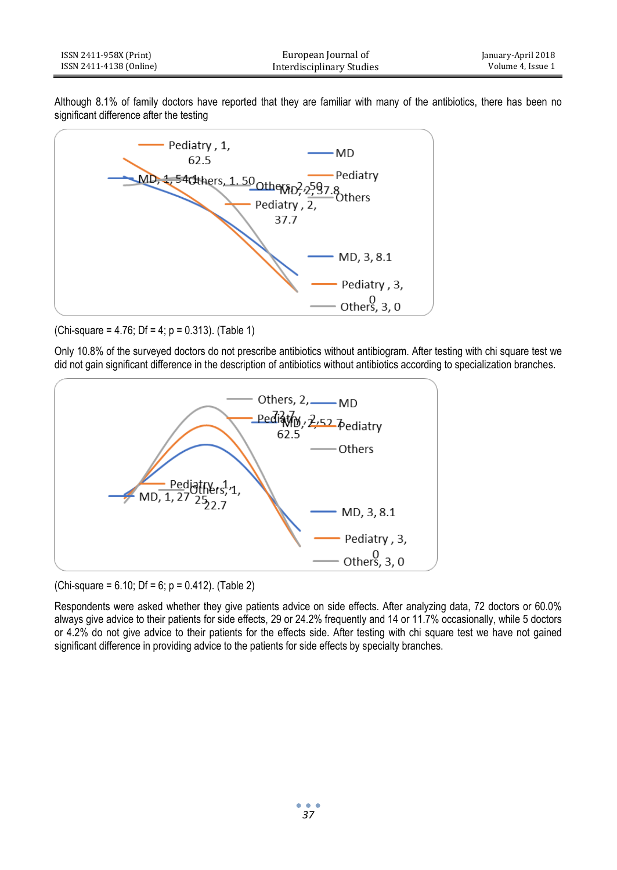| ISSN 2411-958X (Print)  | European Journal of       | January-April 2018 |
|-------------------------|---------------------------|--------------------|
| ISSN 2411-4138 (Online) | Interdisciplinary Studies | Volume 4. Issue 1  |

Although 8.1% of family doctors have reported that they are familiar with many of the antibiotics, there has been no significant difference after the testing



(Chi-square =  $4.76$ ; Df =  $4$ ; p = 0.313). (Table 1)

Only 10.8% of the surveyed doctors do not prescribe antibiotics without antibiogram. After testing with chi square test we did not gain significant difference in the description of antibiotics without antibiotics according to specialization branches.



(Chi-square =  $6.10$ ; Df =  $6$ ; p =  $0.412$ ). (Table 2)

Respondents were asked whether they give patients advice on side effects. After analyzing data, 72 doctors or 60.0% always give advice to their patients for side effects, 29 or 24.2% frequently and 14 or 11.7% occasionally, while 5 doctors or 4.2% do not give advice to their patients for the effects side. After testing with chi square test we have not gained significant difference in providing advice to the patients for side effects by specialty branches.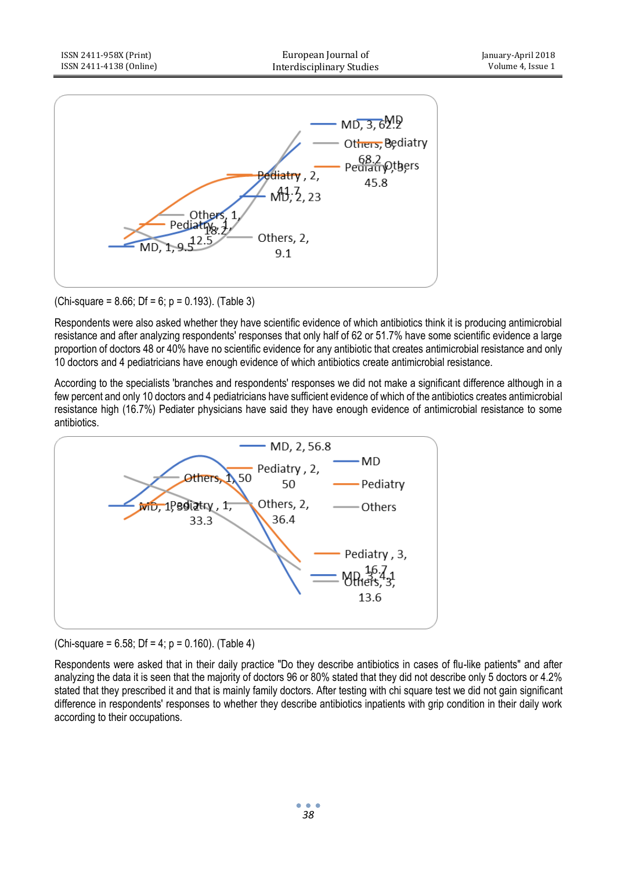

(Chi-square =  $8.66$ ; Df =  $6$ ; p =  $0.193$ ). (Table 3)

Respondents were also asked whether they have scientific evidence of which antibiotics think it is producing antimicrobial resistance and after analyzing respondents' responses that only half of 62 or 51.7% have some scientific evidence a large proportion of doctors 48 or 40% have no scientific evidence for any antibiotic that creates antimicrobial resistance and only 10 doctors and 4 pediatricians have enough evidence of which antibiotics create antimicrobial resistance.

According to the specialists 'branches and respondents' responses we did not make a significant difference although in a few percent and only 10 doctors and 4 pediatricians have sufficient evidence of which of the antibiotics creates antimicrobial resistance high (16.7%) Pediater physicians have said they have enough evidence of antimicrobial resistance to some antibiotics.



### (Chi-square =  $6.58$ ; Df =  $4$ ; p =  $0.160$ ). (Table  $4$ )

Respondents were asked that in their daily practice "Do they describe antibiotics in cases of flu-like patients" and after analyzing the data it is seen that the majority of doctors 96 or 80% stated that they did not describe only 5 doctors or 4.2% stated that they prescribed it and that is mainly family doctors. After testing with chi square test we did not gain significant difference in respondents' responses to whether they describe antibiotics inpatients with grip condition in their daily work according to their occupations.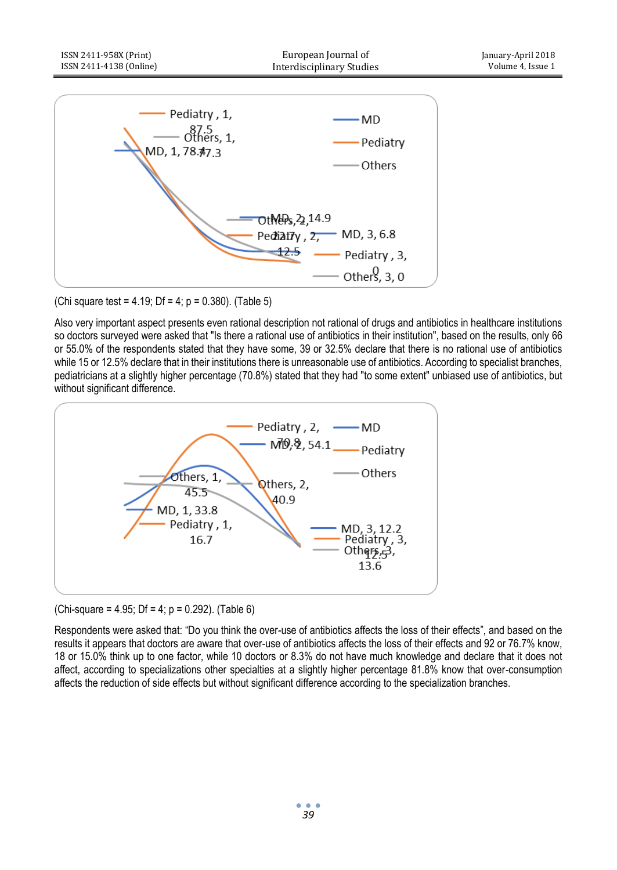

(Chi square test =  $4.19$ ; Df =  $4$ ; p = 0.380). (Table 5)

Also very important aspect presents even rational description not rational of drugs and antibiotics in healthcare institutions so doctors surveyed were asked that "Is there a rational use of antibiotics in their institution", based on the results, only 66 or 55.0% of the respondents stated that they have some, 39 or 32.5% declare that there is no rational use of antibiotics while 15 or 12.5% declare that in their institutions there is unreasonable use of antibiotics. According to specialist branches, pediatricians at a slightly higher percentage (70.8%) stated that they had "to some extent" unbiased use of antibiotics, but without significant difference.



(Chi-square =  $4.95$ ; Df =  $4$ ; p =  $0.292$ ). (Table 6)

Respondents were asked that: "Do you think the over-use of antibiotics affects the loss of their effects", and based on the results it appears that doctors are aware that over-use of antibiotics affects the loss of their effects and 92 or 76.7% know, 18 or 15.0% think up to one factor, while 10 doctors or 8.3% do not have much knowledge and declare that it does not affect, according to specializations other specialties at a slightly higher percentage 81.8% know that over-consumption affects the reduction of side effects but without significant difference according to the specialization branches.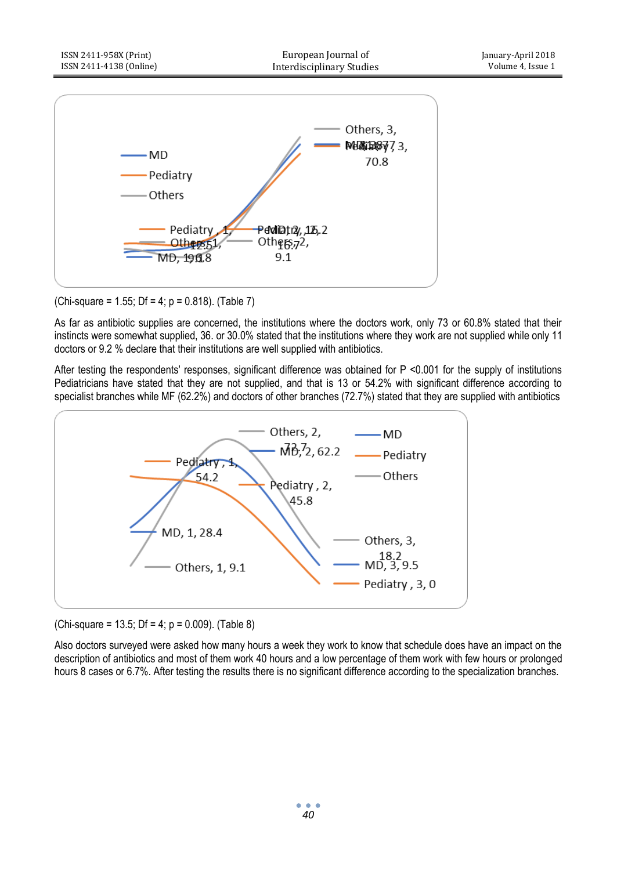

## (Chi-square = 1.55; Df = 4;  $p = 0.818$ ). (Table 7)

As far as antibiotic supplies are concerned, the institutions where the doctors work, only 73 or 60.8% stated that their instincts were somewhat supplied, 36. or 30.0% stated that the institutions where they work are not supplied while only 11 doctors or 9.2 % declare that their institutions are well supplied with antibiotics.

After testing the respondents' responses, significant difference was obtained for P <0.001 for the supply of institutions Pediatricians have stated that they are not supplied, and that is 13 or 54.2% with significant difference according to specialist branches while MF (62.2%) and doctors of other branches (72.7%) stated that they are supplied with antibiotics



(Chi-square = 13.5; Df = 4;  $p = 0.009$ ). (Table 8)

Also doctors surveyed were asked how many hours a week they work to know that schedule does have an impact on the description of antibiotics and most of them work 40 hours and a low percentage of them work with few hours or prolonged hours 8 cases or 6.7%. After testing the results there is no significant difference according to the specialization branches.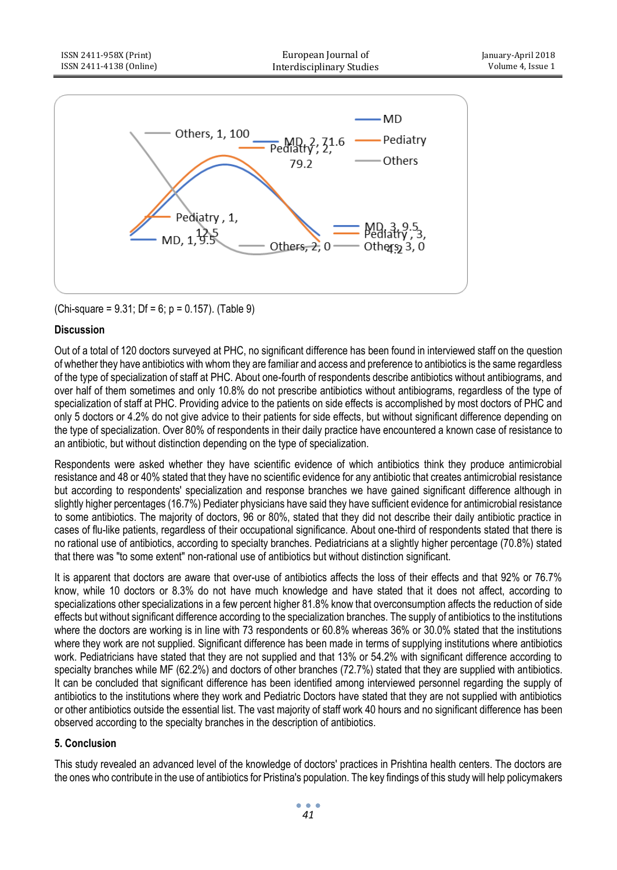

(Chi-square =  $9.31$ ; Df =  $6$ ; p =  $0.157$ ). (Table 9)

## **Discussion**

Out of a total of 120 doctors surveyed at PHC, no significant difference has been found in interviewed staff on the question of whether they have antibiotics with whom they are familiar and access and preference to antibiotics is the same regardless of the type of specialization of staff at PHC. About one-fourth of respondents describe antibiotics without antibiograms, and over half of them sometimes and only 10.8% do not prescribe antibiotics without antibiograms, regardless of the type of specialization of staff at PHC. Providing advice to the patients on side effects is accomplished by most doctors of PHC and only 5 doctors or 4.2% do not give advice to their patients for side effects, but without significant difference depending on the type of specialization. Over 80% of respondents in their daily practice have encountered a known case of resistance to an antibiotic, but without distinction depending on the type of specialization.

Respondents were asked whether they have scientific evidence of which antibiotics think they produce antimicrobial resistance and 48 or 40% stated that they have no scientific evidence for any antibiotic that creates antimicrobial resistance but according to respondents' specialization and response branches we have gained significant difference although in slightly higher percentages (16.7%) Pediater physicians have said they have sufficient evidence for antimicrobial resistance to some antibiotics. The majority of doctors, 96 or 80%, stated that they did not describe their daily antibiotic practice in cases of flu-like patients, regardless of their occupational significance. About one-third of respondents stated that there is no rational use of antibiotics, according to specialty branches. Pediatricians at a slightly higher percentage (70.8%) stated that there was "to some extent" non-rational use of antibiotics but without distinction significant.

It is apparent that doctors are aware that over-use of antibiotics affects the loss of their effects and that 92% or 76.7% know, while 10 doctors or 8.3% do not have much knowledge and have stated that it does not affect, according to specializations other specializations in a few percent higher 81.8% know that overconsumption affects the reduction of side effects but without significant difference according to the specialization branches. The supply of antibiotics to the institutions where the doctors are working is in line with 73 respondents or 60.8% whereas 36% or 30.0% stated that the institutions where they work are not supplied. Significant difference has been made in terms of supplying institutions where antibiotics work. Pediatricians have stated that they are not supplied and that 13% or 54.2% with significant difference according to specialty branches while MF (62.2%) and doctors of other branches (72.7%) stated that they are supplied with antibiotics. It can be concluded that significant difference has been identified among interviewed personnel regarding the supply of antibiotics to the institutions where they work and Pediatric Doctors have stated that they are not supplied with antibiotics or other antibiotics outside the essential list. The vast majority of staff work 40 hours and no significant difference has been observed according to the specialty branches in the description of antibiotics.

## **5. Conclusion**

This study revealed an advanced level of the knowledge of doctors' practices in Prishtina health centers. The doctors are the ones who contribute in the use of antibiotics for Pristina's population. The key findings of this study will help policymakers